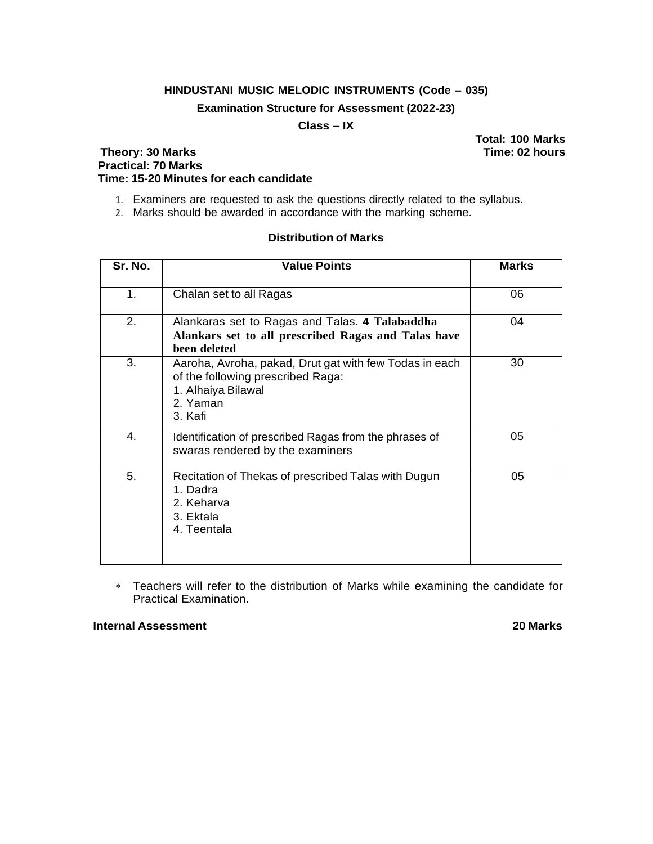## **HINDUSTANI MUSIC MELODIC INSTRUMENTS (Code – 035)**

## **Examination Structure for Assessment (2022-23)**

## **Class – IX**

## **Theory: 30 Marks Time: 02 hours Practical: 70 Marks Time: 15-20 Minutes for each candidate**

1. Examiners are requested to ask the questions directly related to the syllabus.

2. Marks should be awarded in accordance with the marking scheme.

# **Distribution of Marks**

| Sr. No. | <b>Value Points</b>                                                                                                                      | <b>Marks</b> |
|---------|------------------------------------------------------------------------------------------------------------------------------------------|--------------|
| 1.      | Chalan set to all Ragas                                                                                                                  | 06           |
| 2.      | Alankaras set to Ragas and Talas. 4 Talabaddha<br>Alankars set to all prescribed Ragas and Talas have<br>been deleted                    | 04           |
| 3.      | Aaroha, Avroha, pakad, Drut gat with few Todas in each<br>of the following prescribed Raga:<br>1. Alhaiya Bilawal<br>2. Yaman<br>3. Kafi | 30           |
| 4.      | Identification of prescribed Ragas from the phrases of<br>swaras rendered by the examiners                                               | 05           |
| 5.      | Recitation of Thekas of prescribed Talas with Dugun<br>1. Dadra<br>2. Keharva<br>3. Ektala<br>4. Teentala                                | 05           |

 Teachers will refer to the distribution of Marks while examining the candidate for Practical Examination.

#### **Internal Assessment 20 Marks**

**Total: 100 Marks**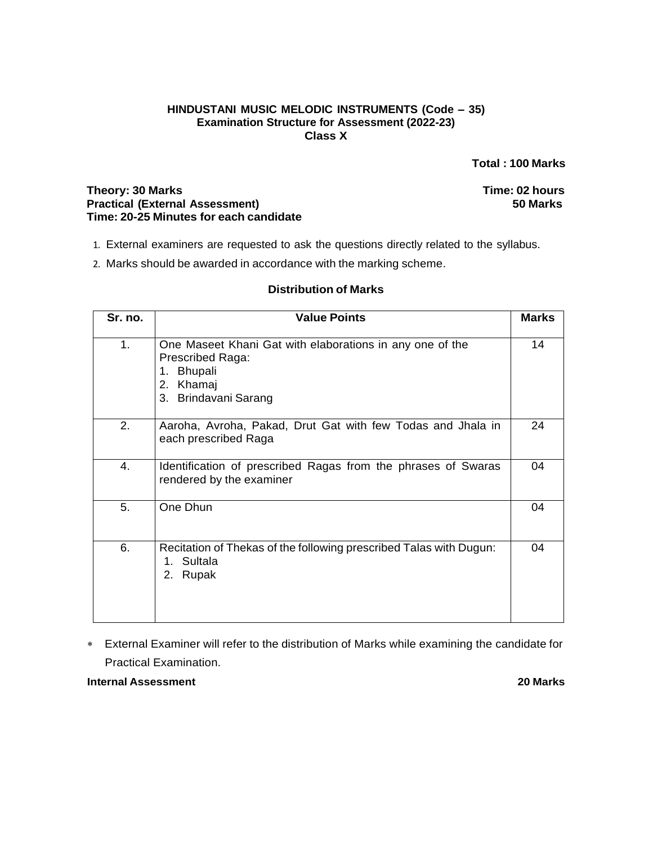### **HINDUSTANI MUSIC MELODIC INSTRUMENTS (Code – 35) Examination Structure for Assessment (2022-23) Class X**

**Total : 100 Marks**

### **Theory: 30 Marks Time: 02 hours Practical (External Assessment) 50 Marks Time: 20-25 Minutes for each candidate**

- 1. External examiners are requested to ask the questions directly related to the syllabus.
- 2. Marks should be awarded in accordance with the marking scheme.

## **Distribution of Marks**

| Sr. no. | <b>Value Points</b>                                                                                                                       | <b>Marks</b> |
|---------|-------------------------------------------------------------------------------------------------------------------------------------------|--------------|
| 1.      | One Maseet Khani Gat with elaborations in any one of the<br>Prescribed Raga:<br><b>Bhupali</b><br>1.<br>2. Khamaj<br>3. Brindavani Sarang | 14           |
| 2.      | Aaroha, Avroha, Pakad, Drut Gat with few Todas and Jhala in<br>each prescribed Raga                                                       | 24           |
| 4.      | Identification of prescribed Ragas from the phrases of Swaras<br>rendered by the examiner                                                 | 04           |
| 5.      | One Dhun                                                                                                                                  | 04           |
| 6.      | Recitation of Thekas of the following prescribed Talas with Dugun:<br>Sultala<br>1.<br>2.<br>Rupak                                        | 04           |

 External Examiner will refer to the distribution of Marks while examining the candidate for Practical Examination.

**Internal Assessment 20 Marks**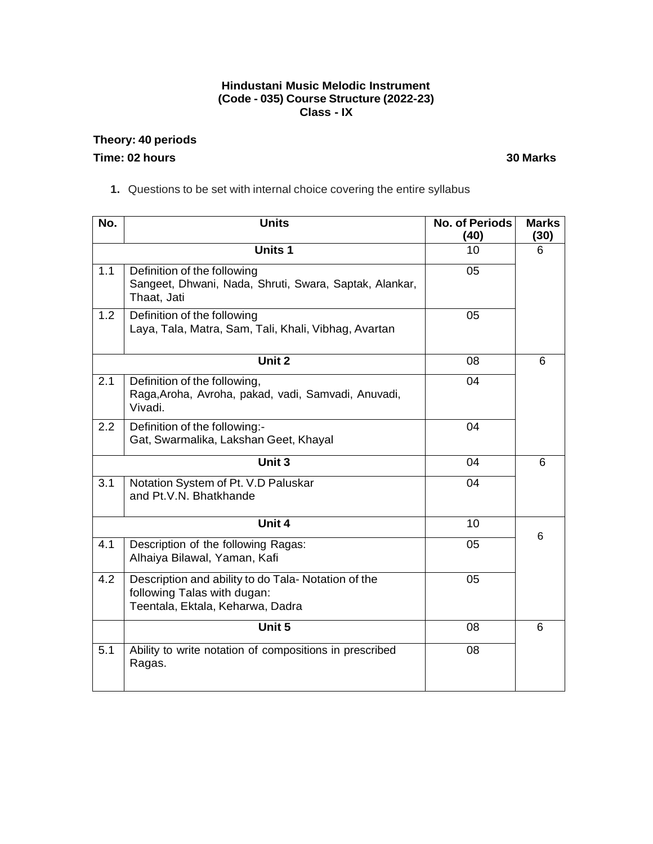## **Hindustani Music Melodic Instrument (Code - 035) Course Structure (2022-23) Class - IX**

## **Theory: 40 periods Time: 02 hours 30 Marks**

**1.** Questions to be set with internal choice covering the entire syllabus

| No.           | <b>Units</b>                                                                                                           | <b>No. of Periods</b><br>(40) | <b>Marks</b><br>(30) |
|---------------|------------------------------------------------------------------------------------------------------------------------|-------------------------------|----------------------|
|               | <b>Units 1</b>                                                                                                         | 10                            | 6                    |
| 1.1           | Definition of the following<br>Sangeet, Dhwani, Nada, Shruti, Swara, Saptak, Alankar,<br>Thaat, Jati                   | 05                            |                      |
| 1.2           | Definition of the following<br>Laya, Tala, Matra, Sam, Tali, Khali, Vibhag, Avartan                                    | 05                            |                      |
|               | Unit 2                                                                                                                 | 08                            | 6                    |
| 2.1           | Definition of the following,<br>Raga, Aroha, Avroha, pakad, vadi, Samvadi, Anuvadi,<br>Vivadi.                         | 04                            |                      |
| $2.2^{\circ}$ | Definition of the following:-<br>Gat, Swarmalika, Lakshan Geet, Khayal                                                 | 04                            |                      |
|               | Unit 3                                                                                                                 | 04                            | 6                    |
| 3.1           | Notation System of Pt. V.D Paluskar<br>and Pt.V.N. Bhatkhande                                                          | 04                            |                      |
|               | Unit 4                                                                                                                 | 10                            |                      |
| 4.1           | Description of the following Ragas:<br>Alhaiya Bilawal, Yaman, Kafi                                                    | 05                            | 6                    |
| 4.2           | Description and ability to do Tala- Notation of the<br>following Talas with dugan:<br>Teentala, Ektala, Keharwa, Dadra | 05                            |                      |
|               | Unit 5                                                                                                                 | 08                            | 6                    |
| 5.1           | Ability to write notation of compositions in prescribed<br>Ragas.                                                      | 08                            |                      |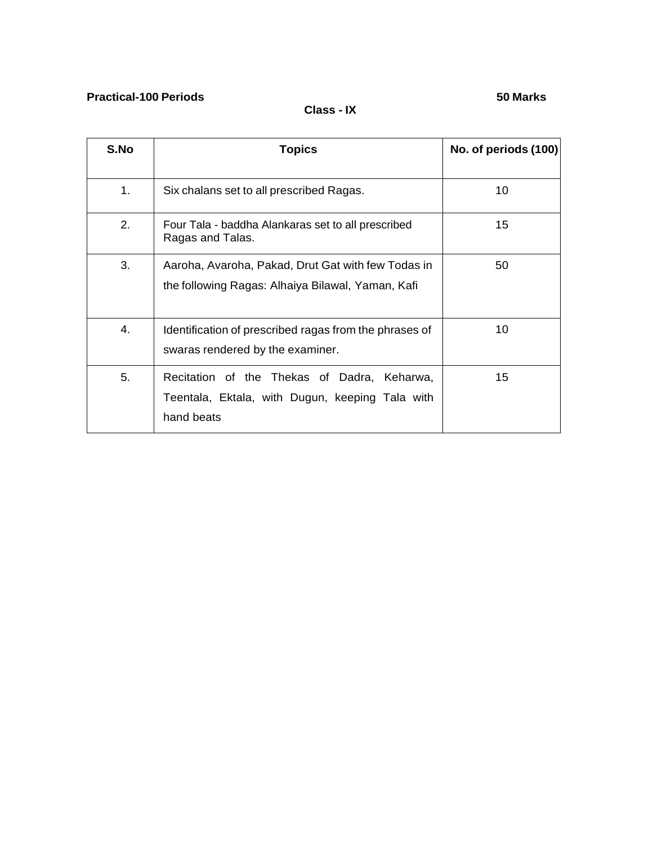## **Practical-100 Periods 50 Marks**

## **Class - IX**

| S.No | <b>Topics</b>                                                                                                | No. of periods (100) |
|------|--------------------------------------------------------------------------------------------------------------|----------------------|
| 1.   | Six chalans set to all prescribed Ragas.                                                                     | 10                   |
| 2.   | Four Tala - baddha Alankaras set to all prescribed<br>Ragas and Talas.                                       | 15                   |
| 3.   | Aaroha, Avaroha, Pakad, Drut Gat with few Todas in<br>the following Ragas: Alhaiya Bilawal, Yaman, Kafi      | 50                   |
| 4.   | Identification of prescribed ragas from the phrases of<br>swaras rendered by the examiner.                   | 10                   |
| 5.   | Recitation of the Thekas of Dadra, Keharwa,<br>Teentala, Ektala, with Dugun, keeping Tala with<br>hand beats | 15                   |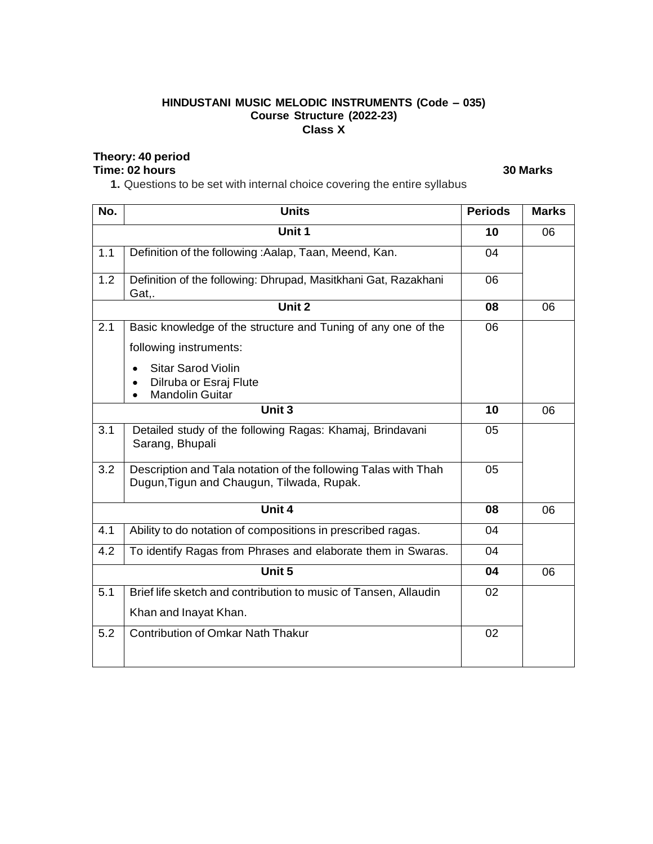## **HINDUSTANI MUSIC MELODIC INSTRUMENTS (Code – 035) Course Structure (2022-23) Class X**

## **Theory: 40 period**

## **Time: 02 hours 30 Marks**

**1.** Questions to be set with internal choice covering the entire syllabus

| No. | <b>Units</b>                                                             | <b>Periods</b> | <b>Marks</b> |
|-----|--------------------------------------------------------------------------|----------------|--------------|
|     | Unit 1                                                                   | 10             | 06           |
| 1.1 | Definition of the following: Aalap, Taan, Meend, Kan.                    | 04             |              |
| 1.2 | Definition of the following: Dhrupad, Masitkhani Gat, Razakhani<br>Gat,. | 06             |              |
|     | Unit $2$                                                                 | 08             | 06           |
| 2.1 | Basic knowledge of the structure and Tuning of any one of the            | 06             |              |
|     | following instruments:                                                   |                |              |
|     | <b>Sitar Sarod Violin</b>                                                |                |              |
|     | Dilruba or Esraj Flute<br><b>Mandolin Guitar</b>                         |                |              |
|     | Unit 3                                                                   | 10             | 06           |
| 3.1 | Detailed study of the following Ragas: Khamaj, Brindavani                | 05             |              |
|     | Sarang, Bhupali                                                          |                |              |
| 3.2 | Description and Tala notation of the following Talas with Thah           | 05             |              |
|     | Dugun, Tigun and Chaugun, Tilwada, Rupak.                                |                |              |
|     | Unit 4                                                                   | 08             | 06           |
| 4.1 | Ability to do notation of compositions in prescribed ragas.              | 04             |              |
| 4.2 | To identify Ragas from Phrases and elaborate them in Swaras.             | 04             |              |
|     | Unit 5                                                                   | 04             | 06           |
| 5.1 | Brief life sketch and contribution to music of Tansen, Allaudin          | 02             |              |
|     | Khan and Inayat Khan.                                                    |                |              |
| 5.2 | <b>Contribution of Omkar Nath Thakur</b>                                 | 02             |              |
|     |                                                                          |                |              |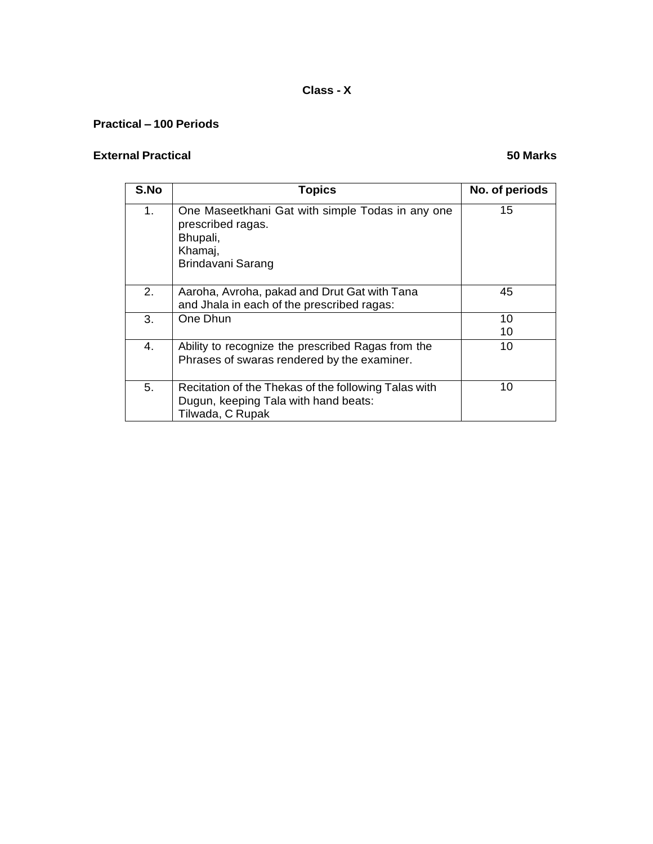## **Class - X**

## **Practical – 100 Periods**

## **External Practical 50 Marks**

| S.No | <b>Topics</b>                                                                                                     | No. of periods |
|------|-------------------------------------------------------------------------------------------------------------------|----------------|
| 1.   | One Maseetkhani Gat with simple Todas in any one<br>prescribed ragas.<br>Bhupali,<br>Khamaj,<br>Brindavani Sarang | 15             |
| 2.   | Aaroha, Avroha, pakad and Drut Gat with Tana<br>and Jhala in each of the prescribed ragas:                        | 45             |
| 3.   | One Dhun                                                                                                          | 10<br>10       |
| 4.   | Ability to recognize the prescribed Ragas from the<br>Phrases of swaras rendered by the examiner.                 | 10             |
| 5.   | Recitation of the Thekas of the following Talas with<br>Dugun, keeping Tala with hand beats:<br>Tilwada, C Rupak  | 10             |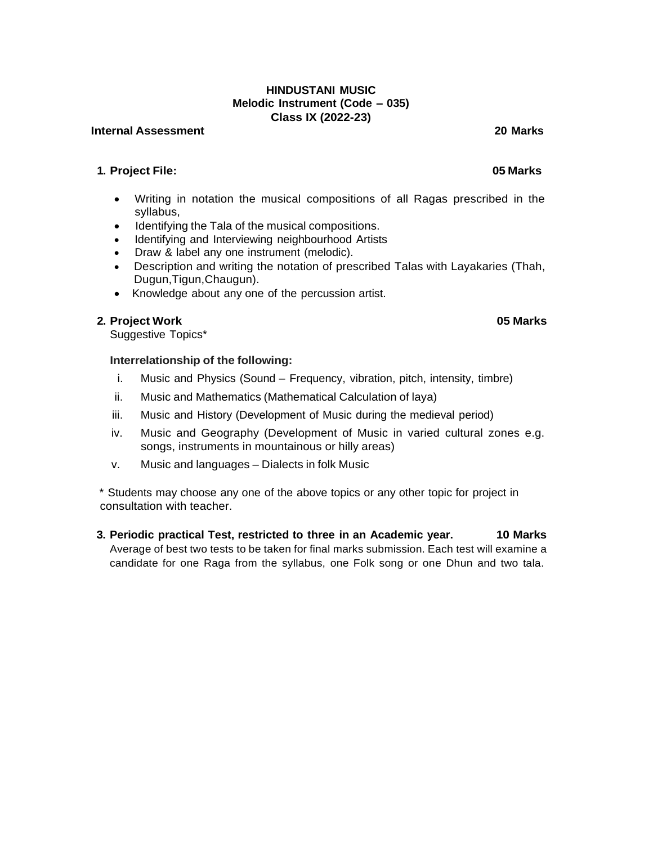## **HINDUSTANI MUSIC Melodic Instrument (Code – 035) Class IX (2022-23)**

#### **Internal Assessment 20 Marks**

## **1. Project File: 05 Marks**

- Writing in notation the musical compositions of all Ragas prescribed in the syllabus,
- Identifying the Tala of the musical compositions.
- Identifying and Interviewing neighbourhood Artists
- Draw & label any one instrument (melodic).
- Description and writing the notation of prescribed Talas with Layakaries (Thah, Dugun,Tigun,Chaugun).
- Knowledge about any one of the percussion artist.

## **2. Project Work 05 Marks**

Suggestive Topics\*

## **Interrelationship of the following:**

- i. Music and Physics (Sound Frequency, vibration, pitch, intensity, timbre)
- ii. Music and Mathematics (Mathematical Calculation of laya)
- iii. Music and History (Development of Music during the medieval period)
- iv. Music and Geography (Development of Music in varied cultural zones e.g. songs, instruments in mountainous or hilly areas)
- v. Music and languages Dialects in folk Music

\* Students may choose any one of the above topics or any other topic for project in consultation with teacher.

**3. Periodic practical Test, restricted to three in an Academic year. 10 Marks** Average of best two tests to be taken for final marks submission. Each test will examine a candidate for one Raga from the syllabus, one Folk song or one Dhun and two tala.